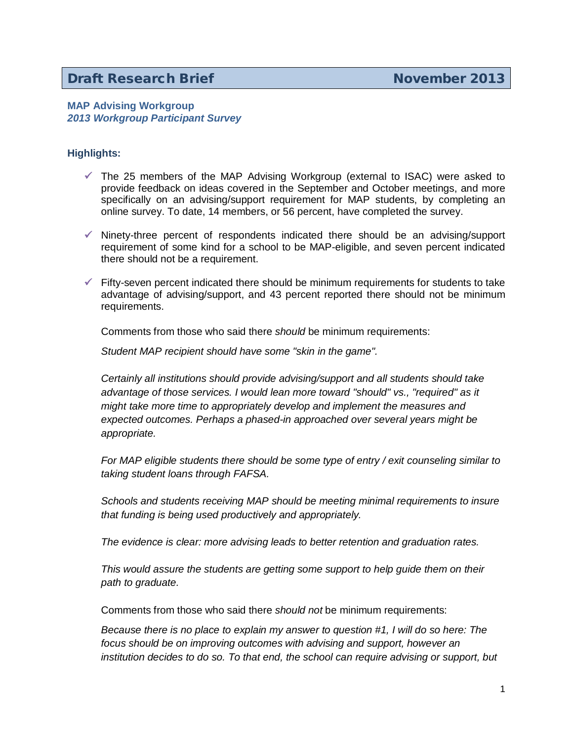# **Draft Research Brief November 2013**

## **MAP Advising Workgroup** *2013 Workgroup Participant Survey*

## **Highlights:**

- $\checkmark$  The 25 members of the MAP Advising Workgroup (external to ISAC) were asked to provide feedback on ideas covered in the September and October meetings, and more specifically on an advising/support requirement for MAP students, by completing an online survey. To date, 14 members, or 56 percent, have completed the survey.
- $\checkmark$  Ninety-three percent of respondents indicated there should be an advising/support requirement of some kind for a school to be MAP-eligible, and seven percent indicated there should not be a requirement.
- $\checkmark$  Fifty-seven percent indicated there should be minimum requirements for students to take advantage of advising/support, and 43 percent reported there should not be minimum requirements.

Comments from those who said there *should* be minimum requirements:

*Student MAP recipient should have some "skin in the game".*

*Certainly all institutions should provide advising/support and all students should take advantage of those services. I would lean more toward "should" vs., "required" as it might take more time to appropriately develop and implement the measures and expected outcomes. Perhaps a phased-in approached over several years might be appropriate.*

*For MAP eligible students there should be some type of entry / exit counseling similar to taking student loans through FAFSA.*

*Schools and students receiving MAP should be meeting minimal requirements to insure that funding is being used productively and appropriately.*

*The evidence is clear: more advising leads to better retention and graduation rates.*

*This would assure the students are getting some support to help guide them on their path to graduate.*

Comments from those who said there *should not* be minimum requirements:

*Because there is no place to explain my answer to question #1, I will do so here: The focus should be on improving outcomes with advising and support, however an institution decides to do so. To that end, the school can require advising or support, but*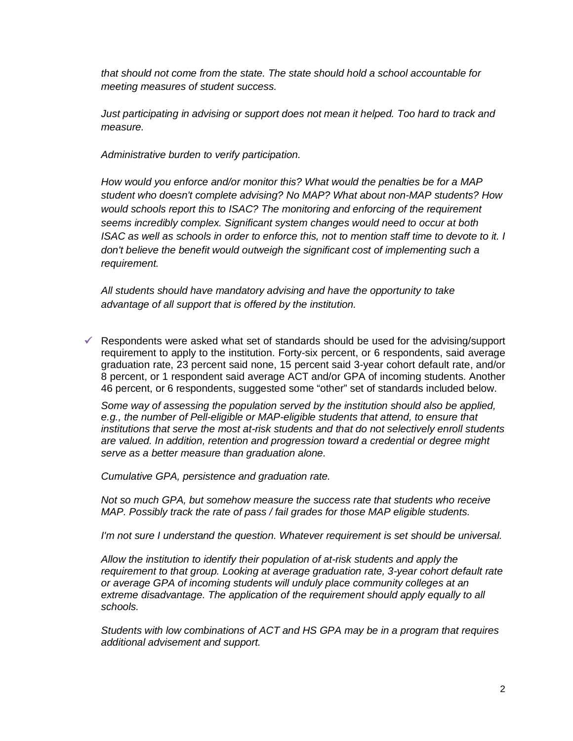*that should not come from the state. The state should hold a school accountable for meeting measures of student success.*

*Just participating in advising or support does not mean it helped. Too hard to track and measure.*

*Administrative burden to verify participation.*

*How would you enforce and/or monitor this? What would the penalties be for a MAP student who doesn't complete advising? No MAP? What about non-MAP students? How would schools report this to ISAC? The monitoring and enforcing of the requirement seems incredibly complex. Significant system changes would need to occur at both ISAC as well as schools in order to enforce this, not to mention staff time to devote to it. I don't believe the benefit would outweigh the significant cost of implementing such a requirement.*

*All students should have mandatory advising and have the opportunity to take advantage of all support that is offered by the institution.*

 $\checkmark$  Respondents were asked what set of standards should be used for the advising/support requirement to apply to the institution. Forty-six percent, or 6 respondents, said average graduation rate, 23 percent said none, 15 percent said 3-year cohort default rate, and/or 8 percent, or 1 respondent said average ACT and/or GPA of incoming students. Another 46 percent, or 6 respondents, suggested some "other" set of standards included below.

*Some way of assessing the population served by the institution should also be applied, e.g., the number of Pell-eligible or MAP-eligible students that attend, to ensure that institutions that serve the most at-risk students and that do not selectively enroll students are valued. In addition, retention and progression toward a credential or degree might serve as a better measure than graduation alone.*

*Cumulative GPA, persistence and graduation rate.*

*Not so much GPA, but somehow measure the success rate that students who receive MAP. Possibly track the rate of pass / fail grades for those MAP eligible students.*

*I'm not sure I understand the question. Whatever requirement is set should be universal.*

*Allow the institution to identify their population of at-risk students and apply the requirement to that group. Looking at average graduation rate, 3-year cohort default rate or average GPA of incoming students will unduly place community colleges at an extreme disadvantage. The application of the requirement should apply equally to all schools.*

*Students with low combinations of ACT and HS GPA may be in a program that requires additional advisement and support.*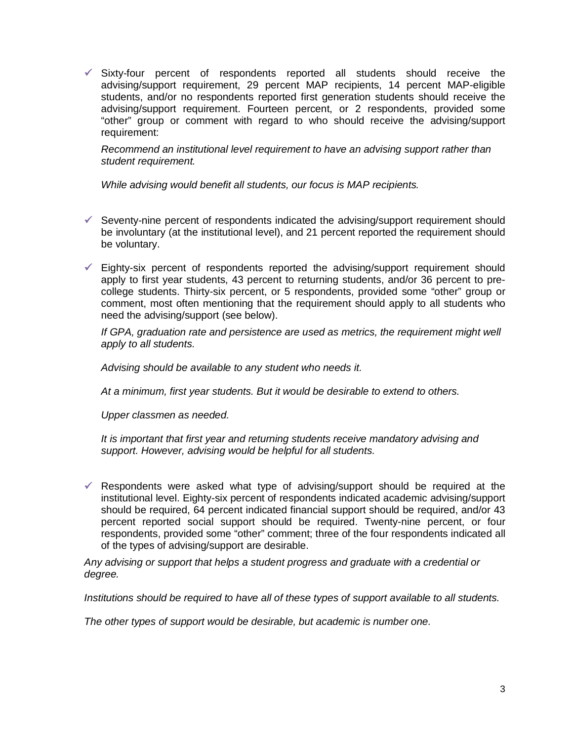$\checkmark$  Sixty-four percent of respondents reported all students should receive the advising/support requirement, 29 percent MAP recipients, 14 percent MAP-eligible students, and/or no respondents reported first generation students should receive the advising/support requirement. Fourteen percent, or 2 respondents, provided some "other" group or comment with regard to who should receive the advising/support requirement:

*Recommend an institutional level requirement to have an advising support rather than student requirement.*

*While advising would benefit all students, our focus is MAP recipients.*

- $\checkmark$  Seventy-nine percent of respondents indicated the advising/support requirement should be involuntary (at the institutional level), and 21 percent reported the requirement should be voluntary.
- $\checkmark$  Eighty-six percent of respondents reported the advising/support requirement should apply to first year students, 43 percent to returning students, and/or 36 percent to precollege students. Thirty-six percent, or 5 respondents, provided some "other" group or comment, most often mentioning that the requirement should apply to all students who need the advising/support (see below).

*If GPA, graduation rate and persistence are used as metrics, the requirement might well apply to all students.*

*Advising should be available to any student who needs it.*

*At a minimum, first year students. But it would be desirable to extend to others.*

*Upper classmen as needed.*

*It is important that first year and returning students receive mandatory advising and support. However, advising would be helpful for all students.*

 $\checkmark$  Respondents were asked what type of advising/support should be required at the institutional level. Eighty-six percent of respondents indicated academic advising/support should be required, 64 percent indicated financial support should be required, and/or 43 percent reported social support should be required. Twenty-nine percent, or four respondents, provided some "other" comment; three of the four respondents indicated all of the types of advising/support are desirable.

*Any advising or support that helps a student progress and graduate with a credential or degree.*

*Institutions should be required to have all of these types of support available to all students.*

*The other types of support would be desirable, but academic is number one.*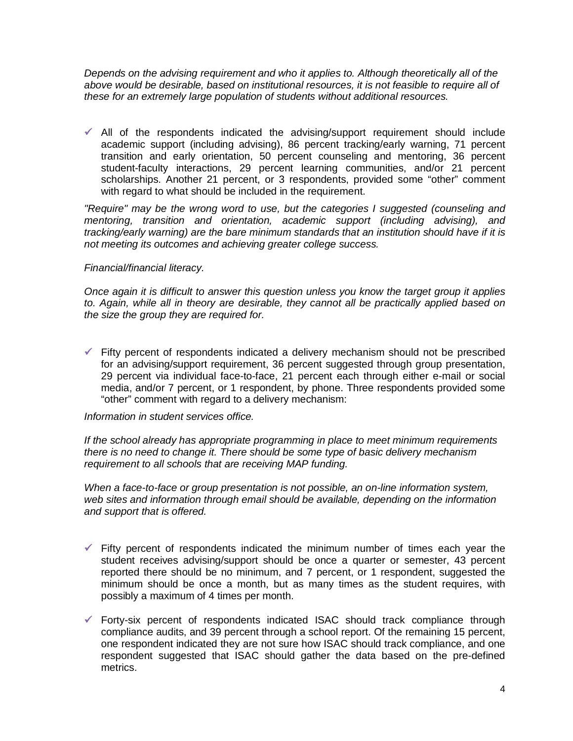*Depends on the advising requirement and who it applies to. Although theoretically all of the above would be desirable, based on institutional resources, it is not feasible to require all of these for an extremely large population of students without additional resources.*

 $\checkmark$  All of the respondents indicated the advising/support requirement should include academic support (including advising), 86 percent tracking/early warning, 71 percent transition and early orientation, 50 percent counseling and mentoring, 36 percent student-faculty interactions, 29 percent learning communities, and/or 21 percent scholarships. Another 21 percent, or 3 respondents, provided some "other" comment with regard to what should be included in the requirement.

*"Require" may be the wrong word to use, but the categories I suggested (counseling and mentoring, transition and orientation, academic support (including advising), and tracking/early warning) are the bare minimum standards that an institution should have if it is not meeting its outcomes and achieving greater college success.*

### *Financial/financial literacy.*

*Once again it is difficult to answer this question unless you know the target group it applies to. Again, while all in theory are desirable, they cannot all be practically applied based on the size the group they are required for.*

 $\checkmark$  Fifty percent of respondents indicated a delivery mechanism should not be prescribed for an advising/support requirement, 36 percent suggested through group presentation, 29 percent via individual face-to-face, 21 percent each through either e-mail or social media, and/or 7 percent, or 1 respondent, by phone. Three respondents provided some "other" comment with regard to a delivery mechanism:

#### *Information in student services office.*

*If the school already has appropriate programming in place to meet minimum requirements there is no need to change it. There should be some type of basic delivery mechanism requirement to all schools that are receiving MAP funding.*

*When a face-to-face or group presentation is not possible, an on-line information system, web sites and information through email should be available, depending on the information and support that is offered.*

- $\checkmark$  Fifty percent of respondents indicated the minimum number of times each year the student receives advising/support should be once a quarter or semester, 43 percent reported there should be no minimum, and 7 percent, or 1 respondent, suggested the minimum should be once a month, but as many times as the student requires, with possibly a maximum of 4 times per month.
- $\checkmark$  Forty-six percent of respondents indicated ISAC should track compliance through compliance audits, and 39 percent through a school report. Of the remaining 15 percent, one respondent indicated they are not sure how ISAC should track compliance, and one respondent suggested that ISAC should gather the data based on the pre-defined metrics.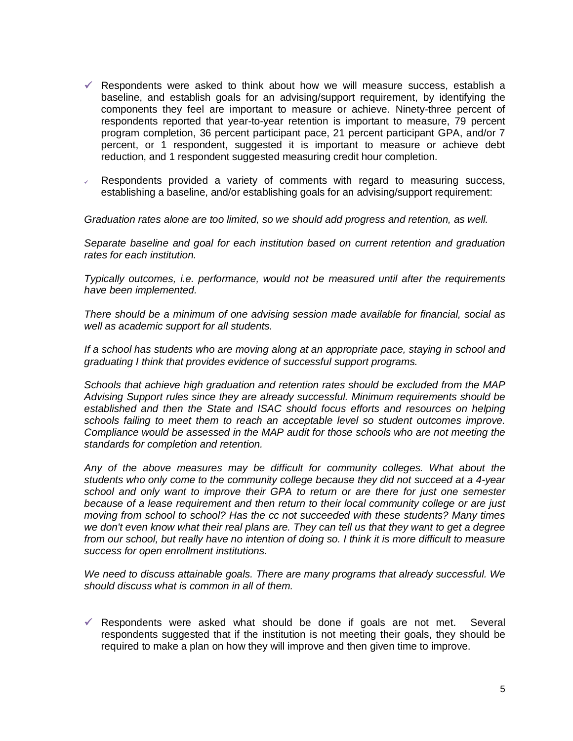- $\checkmark$  Respondents were asked to think about how we will measure success, establish a baseline, and establish goals for an advising/support requirement, by identifying the components they feel are important to measure or achieve. Ninety-three percent of respondents reported that year-to-year retention is important to measure, 79 percent program completion, 36 percent participant pace, 21 percent participant GPA, and/or 7 percent, or 1 respondent, suggested it is important to measure or achieve debt reduction, and 1 respondent suggested measuring credit hour completion.
- $\sqrt{a}$  Respondents provided a variety of comments with regard to measuring success, establishing a baseline, and/or establishing goals for an advising/support requirement:

*Graduation rates alone are too limited, so we should add progress and retention, as well.*

*Separate baseline and goal for each institution based on current retention and graduation rates for each institution.*

*Typically outcomes, i.e. performance, would not be measured until after the requirements have been implemented.*

*There should be a minimum of one advising session made available for financial, social as well as academic support for all students.*

*If a school has students who are moving along at an appropriate pace, staying in school and graduating I think that provides evidence of successful support programs.*

*Schools that achieve high graduation and retention rates should be excluded from the MAP Advising Support rules since they are already successful. Minimum requirements should be established and then the State and ISAC should focus efforts and resources on helping schools failing to meet them to reach an acceptable level so student outcomes improve. Compliance would be assessed in the MAP audit for those schools who are not meeting the standards for completion and retention.*

*Any of the above measures may be difficult for community colleges. What about the students who only come to the community college because they did not succeed at a 4-year school and only want to improve their GPA to return or are there for just one semester because of a lease requirement and then return to their local community college or are just moving from school to school? Has the cc not succeeded with these students? Many times we don't even know what their real plans are. They can tell us that they want to get a degree from our school, but really have no intention of doing so. I think it is more difficult to measure success for open enrollment institutions.*

*We need to discuss attainable goals. There are many programs that already successful. We should discuss what is common in all of them.*

 $\checkmark$  Respondents were asked what should be done if goals are not met. Several respondents suggested that if the institution is not meeting their goals, they should be required to make a plan on how they will improve and then given time to improve.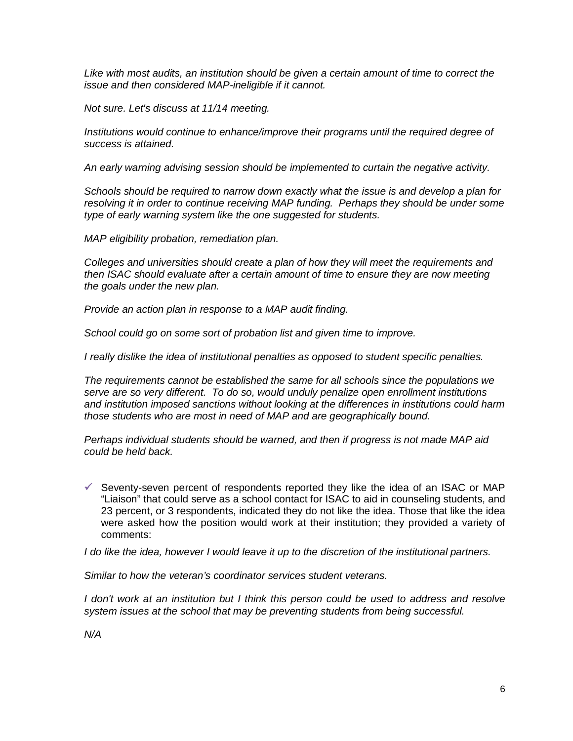*Like with most audits, an institution should be given a certain amount of time to correct the issue and then considered MAP-ineligible if it cannot.*

*Not sure. Let's discuss at 11/14 meeting.*

*Institutions would continue to enhance/improve their programs until the required degree of success is attained.*

*An early warning advising session should be implemented to curtain the negative activity.*

*Schools should be required to narrow down exactly what the issue is and develop a plan for resolving it in order to continue receiving MAP funding. Perhaps they should be under some type of early warning system like the one suggested for students.*

*MAP eligibility probation, remediation plan.*

*Colleges and universities should create a plan of how they will meet the requirements and then ISAC should evaluate after a certain amount of time to ensure they are now meeting the goals under the new plan.*

*Provide an action plan in response to a MAP audit finding.*

*School could go on some sort of probation list and given time to improve.*

*I really dislike the idea of institutional penalties as opposed to student specific penalties.*

*The requirements cannot be established the same for all schools since the populations we serve are so very different. To do so, would unduly penalize open enrollment institutions and institution imposed sanctions without looking at the differences in institutions could harm those students who are most in need of MAP and are geographically bound.*

*Perhaps individual students should be warned, and then if progress is not made MAP aid could be held back.*

 $\checkmark$  Seventy-seven percent of respondents reported they like the idea of an ISAC or MAP "Liaison" that could serve as a school contact for ISAC to aid in counseling students, and 23 percent, or 3 respondents, indicated they do not like the idea. Those that like the idea were asked how the position would work at their institution; they provided a variety of comments:

*I do like the idea, however I would leave it up to the discretion of the institutional partners.*

*Similar to how the veteran's coordinator services student veterans.*

*I don't work at an institution but I think this person could be used to address and resolve system issues at the school that may be preventing students from being successful.*

*N/A*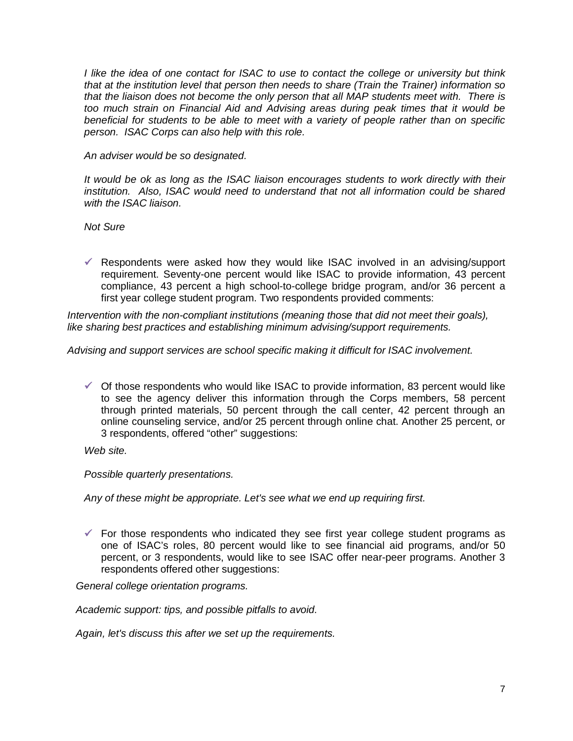*I like the idea of one contact for ISAC to use to contact the college or university but think that at the institution level that person then needs to share (Train the Trainer) information so that the liaison does not become the only person that all MAP students meet with. There is too much strain on Financial Aid and Advising areas during peak times that it would be beneficial for students to be able to meet with a variety of people rather than on specific person. ISAC Corps can also help with this role.*

*An adviser would be so designated.*

*It would be ok as long as the ISAC liaison encourages students to work directly with their institution. Also, ISAC would need to understand that not all information could be shared with the ISAC liaison.*

*Not Sure*

 $\checkmark$  Respondents were asked how they would like ISAC involved in an advising/support requirement. Seventy-one percent would like ISAC to provide information, 43 percent compliance, 43 percent a high school-to-college bridge program, and/or 36 percent a first year college student program. Two respondents provided comments:

*Intervention with the non-compliant institutions (meaning those that did not meet their goals), like sharing best practices and establishing minimum advising/support requirements.*

*Advising and support services are school specific making it difficult for ISAC involvement.*

 $\checkmark$  Of those respondents who would like ISAC to provide information, 83 percent would like to see the agency deliver this information through the Corps members, 58 percent through printed materials, 50 percent through the call center, 42 percent through an online counseling service, and/or 25 percent through online chat. Another 25 percent, or 3 respondents, offered "other" suggestions:

*Web site.*

*Possible quarterly presentations.*

*Any of these might be appropriate. Let's see what we end up requiring first.*

 $\checkmark$  For those respondents who indicated they see first year college student programs as one of ISAC's roles, 80 percent would like to see financial aid programs, and/or 50 percent, or 3 respondents, would like to see ISAC offer near-peer programs. Another 3 respondents offered other suggestions:

*General college orientation programs.*

*Academic support: tips, and possible pitfalls to avoid.*

*Again, let's discuss this after we set up the requirements.*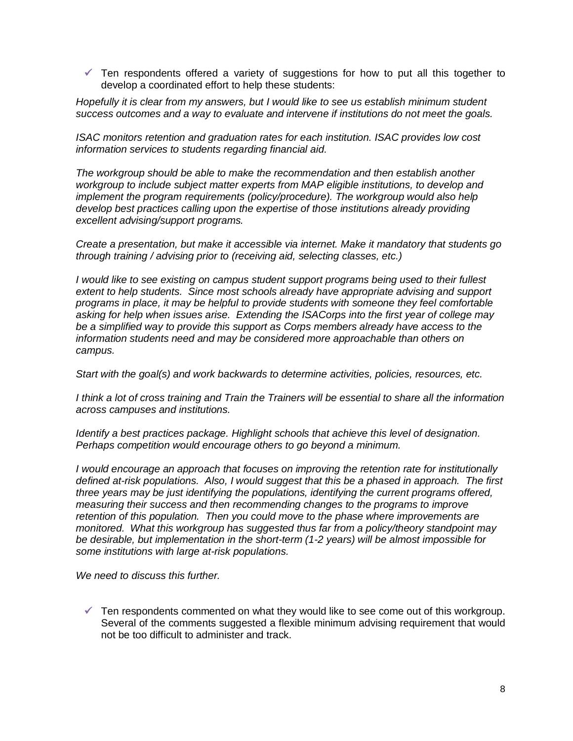$\checkmark$  Ten respondents offered a variety of suggestions for how to put all this together to develop a coordinated effort to help these students:

*Hopefully it is clear from my answers, but I would like to see us establish minimum student success outcomes and a way to evaluate and intervene if institutions do not meet the goals.*

*ISAC monitors retention and graduation rates for each institution. ISAC provides low cost information services to students regarding financial aid.*

*The workgroup should be able to make the recommendation and then establish another workgroup to include subject matter experts from MAP eligible institutions, to develop and implement the program requirements (policy/procedure). The workgroup would also help develop best practices calling upon the expertise of those institutions already providing excellent advising/support programs.*

*Create a presentation, but make it accessible via internet. Make it mandatory that students go through training / advising prior to (receiving aid, selecting classes, etc.)*

*I would like to see existing on campus student support programs being used to their fullest extent to help students. Since most schools already have appropriate advising and support programs in place, it may be helpful to provide students with someone they feel comfortable asking for help when issues arise. Extending the ISACorps into the first year of college may be a simplified way to provide this support as Corps members already have access to the information students need and may be considered more approachable than others on campus.*

*Start with the goal(s) and work backwards to determine activities, policies, resources, etc.*

*I think a lot of cross training and Train the Trainers will be essential to share all the information across campuses and institutions.*

*Identify a best practices package. Highlight schools that achieve this level of designation. Perhaps competition would encourage others to go beyond a minimum.*

*I would encourage an approach that focuses on improving the retention rate for institutionally defined at-risk populations. Also, I would suggest that this be a phased in approach. The first three years may be just identifying the populations, identifying the current programs offered, measuring their success and then recommending changes to the programs to improve retention of this population. Then you could move to the phase where improvements are monitored. What this workgroup has suggested thus far from a policy/theory standpoint may be desirable, but implementation in the short-term (1-2 years) will be almost impossible for some institutions with large at-risk populations.*

*We need to discuss this further.*

 $\checkmark$  Ten respondents commented on what they would like to see come out of this workgroup. Several of the comments suggested a flexible minimum advising requirement that would not be too difficult to administer and track.